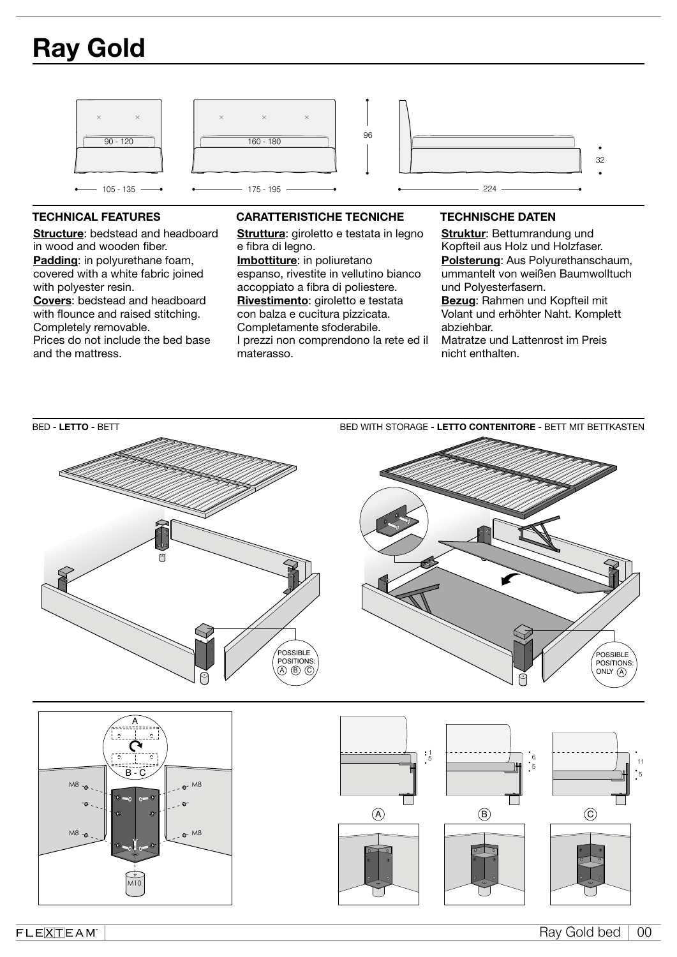# Ray Gold



Structure: bedstead and headboard in wood and wooden fiber. Padding: in polyurethane foam, covered with a white fabric joined with polyester resin. Covers: bedstead and headboard with flounce and raised stitching. Completely removable. Prices do not include the bed base and the mattress.

# TECHNICAL FEATURES CARATTERISTICHE TECNICHE TECHNISCHE DATEN

Struttura: giroletto e testata in legno e fibra di legno. Imbottiture: in poliuretano

espanso, rivestite in vellutino bianco accoppiato a fibra di poliestere. Rivestimento: giroletto e testata con balza e cucitura pizzicata. Completamente sfoderabile. I prezzi non comprendono la rete ed il materasso.

Struktur: Bettumrandung und Kopfteil aus Holz und Holzfaser. Polsterung: Aus Polyurethanschaum, ummantelt von weißen Baumwolltuch und Polyesterfasern. Bezug: Rahmen und Kopfteil mit Volant und erhöhter Naht. Komplett abziehbar.

Matratze und Lattenrost im Preis nicht enthalten.



 $FLE[\overline{X}]\overline{T}EAM$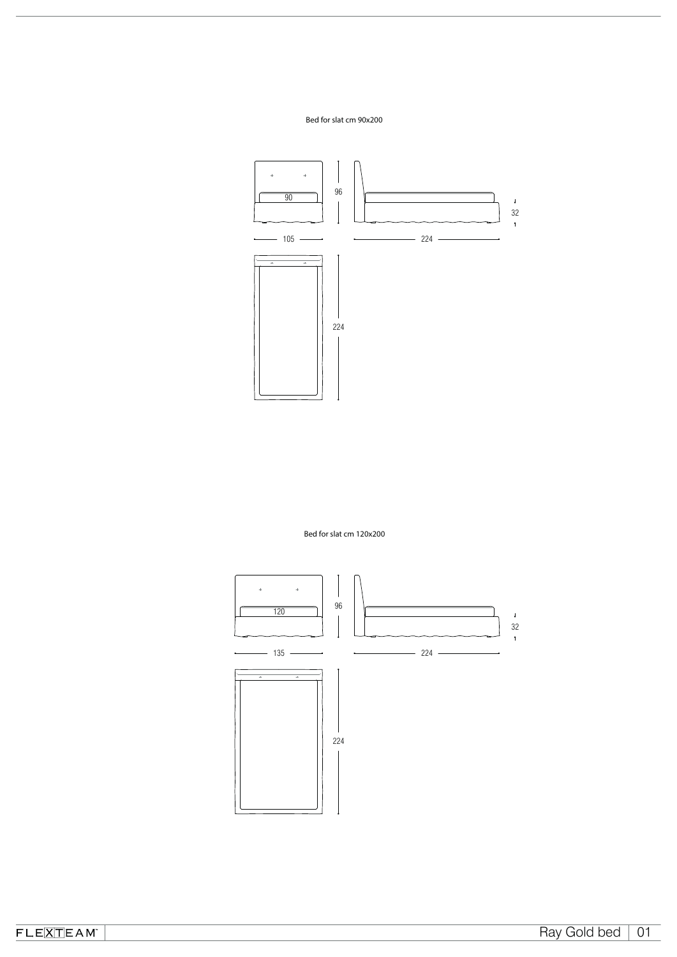## Bed for slat cm 90x200



Bed for slat cm 120x200